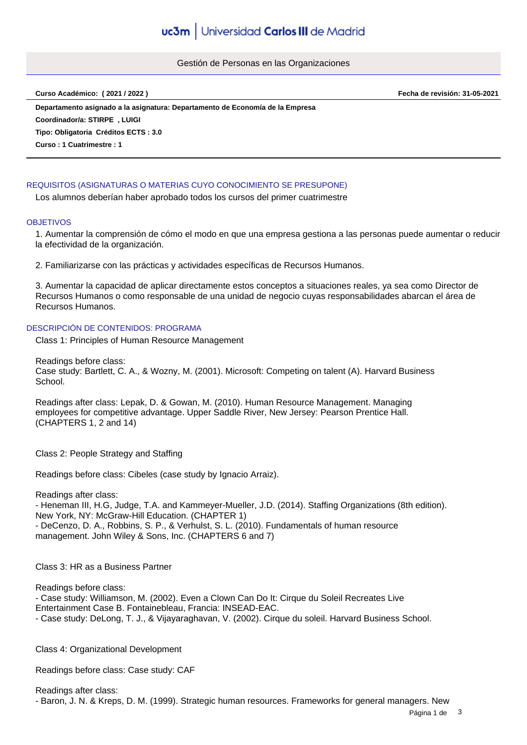Gestión de Personas en las Organizaciones

**Curso Académico: ( 2021 / 2022 ) Fecha de revisión: 31-05-2021**

**Departamento asignado a la asignatura: Departamento de Economía de la Empresa Tipo: Obligatoria Créditos ECTS : 3.0 Curso : 1 Cuatrimestre : 1 Coordinador/a: STIRPE , LUIGI**

# REQUISITOS (ASIGNATURAS O MATERIAS CUYO CONOCIMIENTO SE PRESUPONE)

Los alumnos deberían haber aprobado todos los cursos del primer cuatrimestre

#### **OBJETIVOS**

1. Aumentar la comprensión de cómo el modo en que una empresa gestiona a las personas puede aumentar o reducir la efectividad de la organización.

2. Familiarizarse con las prácticas y actividades específicas de Recursos Humanos.

3. Aumentar la capacidad de aplicar directamente estos conceptos a situaciones reales, ya sea como Director de Recursos Humanos o como responsable de una unidad de negocio cuyas responsabilidades abarcan el área de Recursos Humanos.

### DESCRIPCIÓN DE CONTENIDOS: PROGRAMA

Class 1: Principles of Human Resource Management

Readings before class: Case study: Bartlett, C. A., & Wozny, M. (2001). Microsoft: Competing on talent (A). Harvard Business School.

Readings after class: Lepak, D. & Gowan, M. (2010). Human Resource Management. Managing employees for competitive advantage. Upper Saddle River, New Jersey: Pearson Prentice Hall. (CHAPTERS 1, 2 and 14)

Class 2: People Strategy and Staffing

Readings before class: Cibeles (case study by Ignacio Arraiz).

Readings after class:

- Heneman III, H.G, Judge, T.A. and Kammeyer-Mueller, J.D. (2014). Staffing Organizations (8th edition). New York, NY: McGraw-Hill Education. (CHAPTER 1) - DeCenzo, D. A., Robbins, S. P., & Verhulst, S. L. (2010). Fundamentals of human resource management. John Wiley & Sons, Inc. (CHAPTERS 6 and 7)

Class 3: HR as a Business Partner

Readings before class:

- Case study: Williamson, M. (2002). Even a Clown Can Do It: Cirque du Soleil Recreates Live Entertainment Case B. Fontainebleau, Francia: INSEAD-EAC.

- Case study: DeLong, T. J., & Vijayaraghavan, V. (2002). Cirque du soleil. Harvard Business School.

Class 4: Organizational Development

Readings before class: Case study: CAF

Readings after class: - Baron, J. N. & Kreps, D. M. (1999). Strategic human resources. Frameworks for general managers. New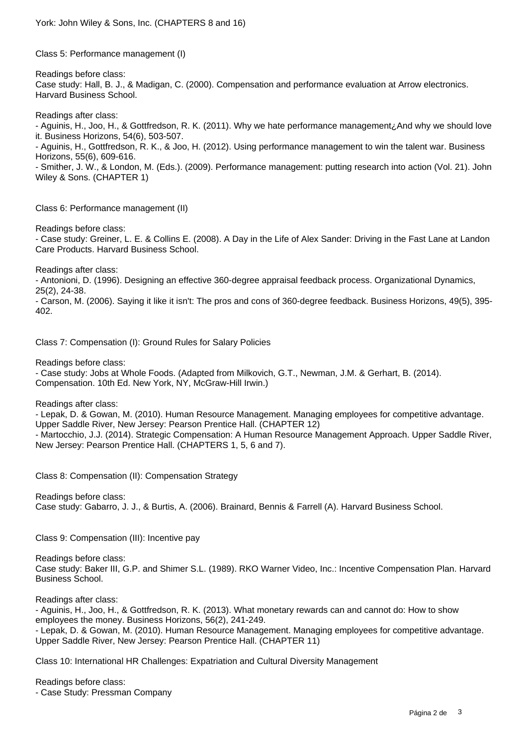Class 5: Performance management (I)

Readings before class: Case study: Hall, B. J., & Madigan, C. (2000). Compensation and performance evaluation at Arrow electronics. Harvard Business School.

Readings after class:

- Aguinis, H., Joo, H., & Gottfredson, R. K. (2011). Why we hate performance management¿And why we should love it. Business Horizons, 54(6), 503-507.

- Aguinis, H., Gottfredson, R. K., & Joo, H. (2012). Using performance management to win the talent war. Business Horizons, 55(6), 609-616.

- Smither, J. W., & London, M. (Eds.). (2009). Performance management: putting research into action (Vol. 21). John Wiley & Sons. (CHAPTER 1)

Class 6: Performance management (II)

Readings before class:

- Case study: Greiner, L. E. & Collins E. (2008). A Day in the Life of Alex Sander: Driving in the Fast Lane at Landon Care Products. Harvard Business School.

Readings after class:

- Antonioni, D. (1996). Designing an effective 360-degree appraisal feedback process. Organizational Dynamics, 25(2), 24-38.

- Carson, M. (2006). Saying it like it isn't: The pros and cons of 360-degree feedback. Business Horizons, 49(5), 395- 402.

Class 7: Compensation (I): Ground Rules for Salary Policies

Readings before class:

- Case study: Jobs at Whole Foods. (Adapted from Milkovich, G.T., Newman, J.M. & Gerhart, B. (2014). Compensation. 10th Ed. New York, NY, McGraw-Hill Irwin.)

Readings after class:

- Lepak, D. & Gowan, M. (2010). Human Resource Management. Managing employees for competitive advantage. Upper Saddle River, New Jersey: Pearson Prentice Hall. (CHAPTER 12) - Martocchio, J.J. (2014). Strategic Compensation: A Human Resource Management Approach. Upper Saddle River, New Jersey: Pearson Prentice Hall. (CHAPTERS 1, 5, 6 and 7).

Class 8: Compensation (II): Compensation Strategy

Readings before class: Case study: Gabarro, J. J., & Burtis, A. (2006). Brainard, Bennis & Farrell (A). Harvard Business School.

Class 9: Compensation (III): Incentive pay

Readings before class: Case study: Baker III, G.P. and Shimer S.L. (1989). RKO Warner Video, Inc.: Incentive Compensation Plan. Harvard Business School.

Readings after class:

- Aguinis, H., Joo, H., & Gottfredson, R. K. (2013). What monetary rewards can and cannot do: How to show employees the money. Business Horizons, 56(2), 241-249. - Lepak, D. & Gowan, M. (2010). Human Resource Management. Managing employees for competitive advantage. Upper Saddle River, New Jersey: Pearson Prentice Hall. (CHAPTER 11)

Class 10: International HR Challenges: Expatriation and Cultural Diversity Management

Readings before class: - Case Study: Pressman Company